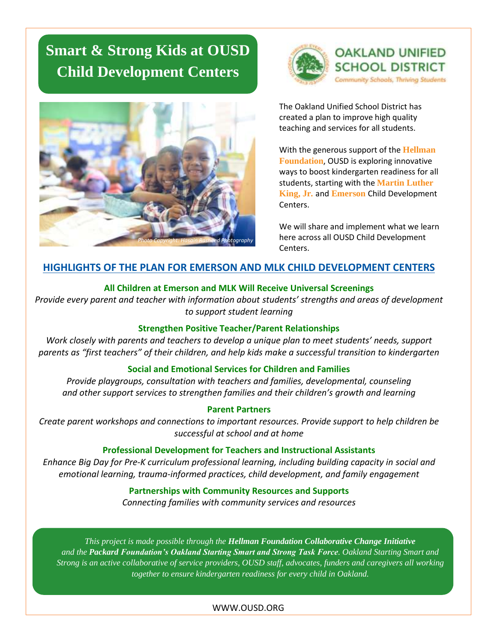# **Smart & Strong Kids at OUSD Child Development Centers**





The Oakland Unified School District has created a plan to improve high quality teaching and services for all students.

With the generous support of the **Hellman Foundation**, OUSD is exploring innovative ways to boost kindergarten readiness for all students, starting with the **Martin Luther King, Jr***.* and **Emerson** Child Development Centers.

We will share and implement what we learn here across all OUSD Child Development Centers.

## **HIGHLIGHTS OF THE PLAN FOR EMERSON AND MLK CHILD DEVELOPMENT CENTERS**

### **All Children at Emerson and MLK Will Receive Universal Screenings**

*Provide every parent and teacher with information about students' strengths and areas of development to support student learning*

### **Strengthen Positive Teacher/Parent Relationships**

*Work closely with parents and teachers to develop a unique plan to meet students' needs, support parents as "first teachers" of their children, and help kids make a successful transition to kindergarten*

### **Social and Emotional Services for Children and Families**

*Provide playgroups, consultation with teachers and families, developmental, counseling and other support services to strengthen families and their children's growth and learning*

### **Parent Partners**

*Create parent workshops and connections to important resources. Provide support to help children be successful at school and at home*

### **Professional Development for Teachers and Instructional Assistants**

*Enhance Big Day for Pre-K curriculum professional learning, including building capacity in social and emotional learning, trauma-informed practices, child development, and family engagement*

### **Partnerships with Community Resources and Supports**

*Connecting families with community services and resources*

*This project is made possible through the Hellman Foundation Collaborative Change Initiative and the Packard Foundation's Oakland Starting Smart and Strong Task Force. Oakland Starting Smart and Strong is an active collaborative of service providers, OUSD staff, advocates, funders and caregivers all working together to ensure kindergarten readiness for every child in Oakland.*

### WWW.OUSD.ORG